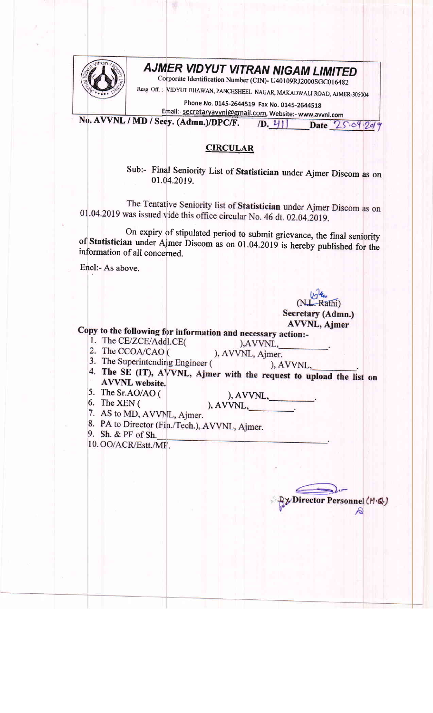

## **AJMER VIDYUT VITRAN NIGAM LIMITED**

Corporate Identification Number (CIN)- U40109RJ2000SGC016482

Resg. Off. :- VIDYUT BHAWAN, PANCHSHEEL NAGAR, MAKADWALI ROAD, AJMER-305004

Phone No. 0145-2644519 Fax No. 0145-2644518

Email:- secretaryavvnl@gmail.com, Website:- www.avvnl.com No. AVVNL / MD / Secy. (Admn.)/DPC/F.  $(D. 4)$ Date 25.04.2019

## **CIRCULAR**

Sub:- Final Seniority List of Statistician under Ajmer Discom as on 01.04.2019.

The Tentative Seniority list of Statistician under Ajmer Discom as on 01.04.2019 was issued vide this office circular No. 46 dt. 02.04.2019.

On expiry of stipulated period to submit grievance, the final seniority of Statistician under Ajmer Discom as on 01.04.2019 is hereby published for the information of all concerned.

Encl:- As above.

(N.L. Rathi) Secretary (Admn.) AVVNL, Ajmer

Director Personnel (M.Q.)

 $\mathcal{S}$ 

Copy to the following for information and necessary action:-

- 1. The CE/ZCE/Addl.CE( 2. The CCOA/CAO (
- ), AVVNL, ), AVVNL, Ajmer.
- 3. The Superintending Engineer (
- ), AVVNL, 4. The SE (IT), AVVNL, Ajmer with the request to upload the list on **AVVNL** website.
- 5. The Sr.AO/AO (
- ), AVVNL,  $A VVNL$ ,
- 6. The XEN  $($
- 7. AS to MD, AVVNL, Ajmer.
- 8. PA to Director (Fin./Tech.), AVVNL, Ajmer.
- 9. Sh. & PF of Sh.
- 10. OO/ACR/Estt./MF.